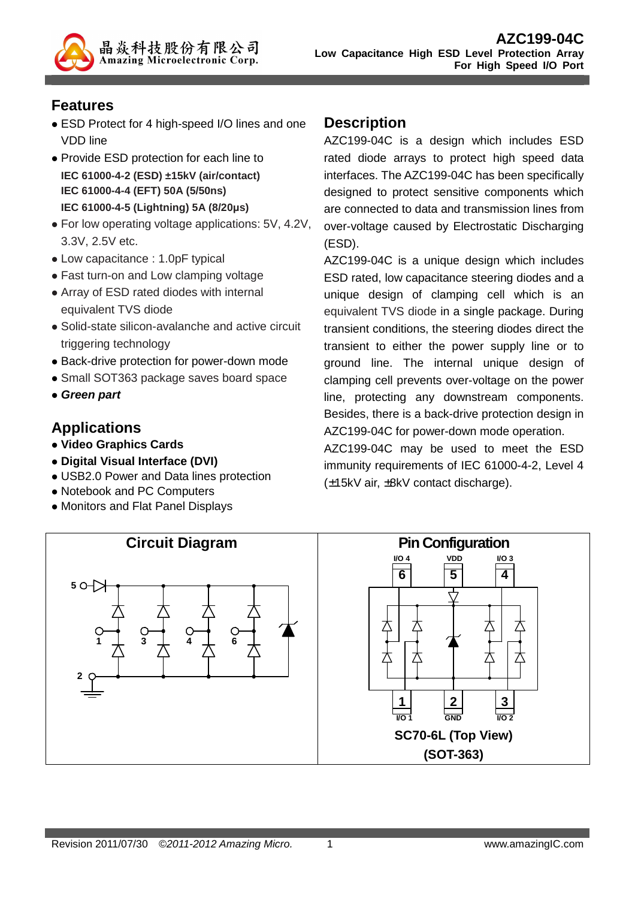## **Features**

 ESD Protect for 4 high-speed I/O lines and one VDD line

晶焱科技股份有限公司 **Amazing Microelectronic Corp.** 

- Provide ESD protection for each line to **IEC 61000-4-2 (ESD) ±15kV (air/contact) IEC 61000-4-4 (EFT) 50A (5/50ns) IEC 61000-4-5 (Lightning) 5A (8/20µs)**
- For low operating voltage applications: 5V, 4.2V, 3.3V, 2.5V etc.
- Low capacitance : 1.0pF typical
- Fast turn-on and Low clamping voltage
- Array of ESD rated diodes with internal equivalent TVS diode
- Solid-state silicon-avalanche and active circuit triggering technology
- Back-drive protection for power-down mode
- Small SOT363 package saves board space
- **Green part**

# **Applications**

- **Video Graphics Cards**
- **Digital Visual Interface (DVI)**
- USB2.0 Power and Data lines protection
- Notebook and PC Computers
- Monitors and Flat Panel Displays

### **Description**

AZC199-04C is a design which includes ESD rated diode arrays to protect high speed data interfaces. The AZC199-04C has been specifically designed to protect sensitive components which are connected to data and transmission lines from over-voltage caused by Electrostatic Discharging (ESD).

AZC199-04C is a unique design which includes ESD rated, low capacitance steering diodes and a unique design of clamping cell which is an equivalent TVS diode in a single package. During transient conditions, the steering diodes direct the transient to either the power supply line or to ground line. The internal unique design of clamping cell prevents over-voltage on the power line, protecting any downstream components. Besides, there is a back-drive protection design in AZC199-04C for power-down mode operation.

AZC199-04C may be used to meet the ESD immunity requirements of IEC 61000-4-2, Level 4 (±15kV air, ±8kV contact discharge).

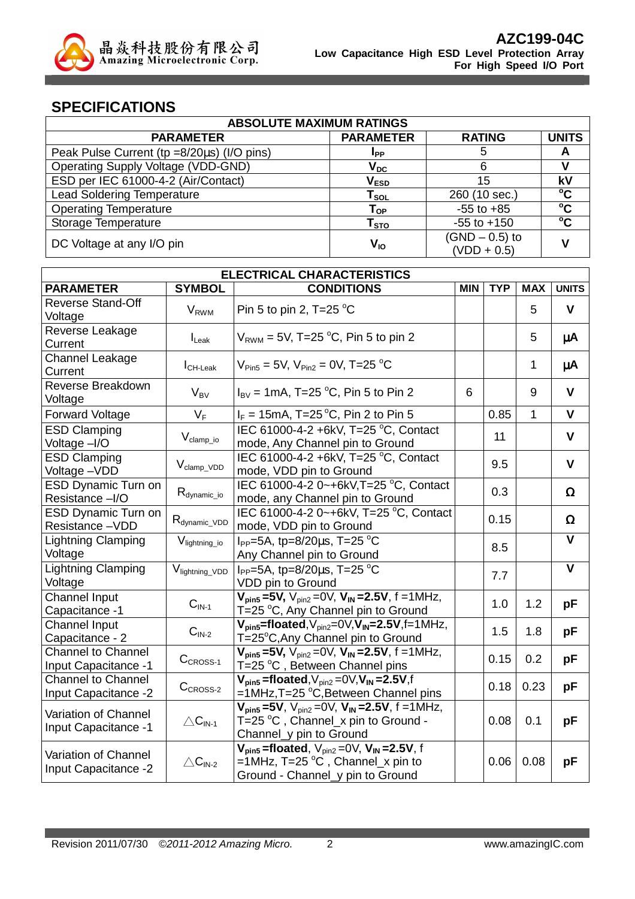

### **SPECIFICATIONS**

| <b>ABSOLUTE MAXIMUM RATINGS</b>            |                                 |                                   |              |  |
|--------------------------------------------|---------------------------------|-----------------------------------|--------------|--|
| <b>PARAMETER</b>                           | <b>PARAMETER</b>                | <b>RATING</b>                     | <b>UNITS</b> |  |
| Peak Pulse Current (tp =8/20µs) (I/O pins) | Ipp                             | 5                                 | A            |  |
| <b>Operating Supply Voltage (VDD-GND)</b>  | $\bm{{\mathsf{V}}}_\mathsf{DC}$ | 6                                 |              |  |
| ESD per IEC 61000-4-2 (Air/Contact)        | $\mathsf{V}_{\textsf{ESD}}$     | 15                                | kV           |  |
| <b>Lead Soldering Temperature</b>          | $T_{SOL}$                       | 260 (10 sec.)                     | $\rm ^{o}C$  |  |
| <b>Operating Temperature</b>               | ${\mathsf T}_{\mathsf {OP}}$    | $-55$ to $+85$                    | $\rm ^{o}C$  |  |
| Storage Temperature                        | ${\sf T}_{\text{STO}}$          | $-55$ to $+150$                   | $\rm ^{o}C$  |  |
| DC Voltage at any I/O pin                  | V <sub>IO</sub>                 | $(GND - 0.5)$ to<br>$(VDD + 0.5)$ |              |  |

| <b>ELECTRICAL CHARACTERISTICS</b>                        |                             |                                                                                                                                                       |            |            |            |                         |
|----------------------------------------------------------|-----------------------------|-------------------------------------------------------------------------------------------------------------------------------------------------------|------------|------------|------------|-------------------------|
| <b>PARAMETER</b>                                         | <b>SYMBOL</b>               | <b>CONDITIONS</b>                                                                                                                                     | <b>MIN</b> | <b>TYP</b> | <b>MAX</b> | <b>UNITS</b>            |
| <b>Reverse Stand-Off</b>                                 | <b>V</b> <sub>RWM</sub>     | Pin 5 to pin 2, T=25 $^{\circ}$ C                                                                                                                     |            |            | 5          | $\mathbf{V}$            |
| Voltage                                                  |                             |                                                                                                                                                       |            |            |            |                         |
| Reverse Leakage<br>Current                               | $I_{\text{L}eak}$           | $V_{RWM}$ = 5V, T=25 $^{\circ}$ C, Pin 5 to pin 2                                                                                                     |            |            | 5          | μA                      |
| <b>Channel Leakage</b><br>Current                        | $I_{CH\text{-}\text{Leak}}$ | $V_{\text{Pin5}} = 5V$ , $V_{\text{Pin2}} = 0V$ , T=25 °C                                                                                             |            |            | 1          | μA                      |
| Reverse Breakdown<br>Voltage                             | $V_{BV}$                    | $I_{\text{BV}}$ = 1mA, T=25 °C, Pin 5 to Pin 2                                                                                                        | 6          |            | 9          | $\mathbf{V}$            |
| <b>Forward Voltage</b>                                   | $V_F$                       | $I_F = 15 \text{mA}, T = 25 \text{°C}, P \text{in } 2 \text{ to Pin } 5$                                                                              |            | 0.85       | 1          | $\mathbf{V}$            |
| <b>ESD Clamping</b><br>Voltage -I/O                      | $V_{\text{clamp\_io}}$      | IEC 61000-4-2 +6kV, T=25 °C, Contact<br>mode, Any Channel pin to Ground                                                                               |            | 11         |            | $\mathbf v$             |
| <b>ESD Clamping</b><br>Voltage-VDD                       | $V_{\text{clamp\_VDD}}$     | IEC 61000-4-2 +6kV, T=25 °C, Contact<br>mode, VDD pin to Ground                                                                                       |            | 9.5        |            | $\mathbf{V}$            |
| <b>ESD Dynamic Turn on</b><br>Resistance -I/O            | $R_{\text{dynamic\_io}}$    | IEC 61000-4-2 0~+6kV, T=25 °C, Contact<br>mode, any Channel pin to Ground                                                                             |            | 0.3        |            | $\Omega$                |
| <b>ESD Dynamic Turn on</b><br>Resistance-VDD             | R <sub>dynamic_VDD</sub>    | IEC 61000-4-2 0~+6kV, T=25 °C, Contact<br>mode, VDD pin to Ground                                                                                     |            | 0.15       |            | $\pmb{\Omega}$          |
| <b>Lightning Clamping</b><br>Voltage                     | V <sub>lightning_io</sub>   | I <sub>PP</sub> =5A, tp=8/20 $\mu$ s, T=25 °C<br>Any Channel pin to Ground                                                                            |            | 8.5        |            | $\overline{\mathsf{v}}$ |
| <b>Lightning Clamping</b><br>Voltage                     | Viightning_VDD              | $I_{PP} = 5A$ , tp=8/20 $\mu$ s, T=25 °C<br>VDD pin to Ground                                                                                         |            | 7.7        |            | $\overline{\mathsf{v}}$ |
| <b>Channel Input</b><br>Capacitance -1                   | $CIN-1$                     | $V_{pin5} = 5V$ , $V_{pin2} = 0V$ , $V_{IN} = 2.5V$ , $f = 1MHz$ ,<br>T=25 °C, Any Channel pin to Ground                                              |            | 1.0        | 1.2        | pF                      |
| Channel Input<br>Capacitance - 2                         | $CIN-2$                     | $V_{pin5}$ =floated, $V_{pin2}$ =0 $V, V_{IN}$ =2.5V, f=1MHz,<br>T=25°C, Any Channel pin to Ground                                                    |            | 1.5        | 1.8        | pF                      |
| <b>Channel to Channel</b><br><b>Input Capacitance -1</b> | $C_{CROSS-1}$               | $V_{pin5} = 5V$ , $V_{pin2} = 0V$ , $V_{IN} = 2.5V$ , f = 1MHz,<br>T=25 °C, Between Channel pins                                                      |            | 0.15       | 0.2        | pF                      |
| <b>Channel to Channel</b><br>Input Capacitance -2        | $CCROS-2$                   | $V_{pin5}$ =floated, $V_{pin2}$ =0 $V, V_{IN}$ =2.5V,f<br>=1MHz,T=25 °C,Between Channel pins                                                          |            | 0.18       | 0.23       | pF                      |
| Variation of Channel<br>Input Capacitance -1             | $\triangle C_{\text{IN-1}}$ | $V_{\text{pin5}} = 5V$ , $V_{\text{pin2}} = 0V$ , $V_{\text{IN}} = 2.5V$ , f = 1MHz,<br>T=25 °C, Channel_x pin to Ground -<br>Channel_y pin to Ground |            | 0.08       | 0.1        | pF                      |
| Variation of Channel<br>Input Capacitance -2             | $\triangle C_{\text{IN-2}}$ | $V_{pin5}$ =floated, $V_{pin2}=0\overline{V}$ , $V_{IN}=2.5V$ , f<br>$=1$ MHz, T=25 °C, Channel x pin to<br>Ground - Channel_y pin to Ground          |            | 0.06       | 0.08       | pF                      |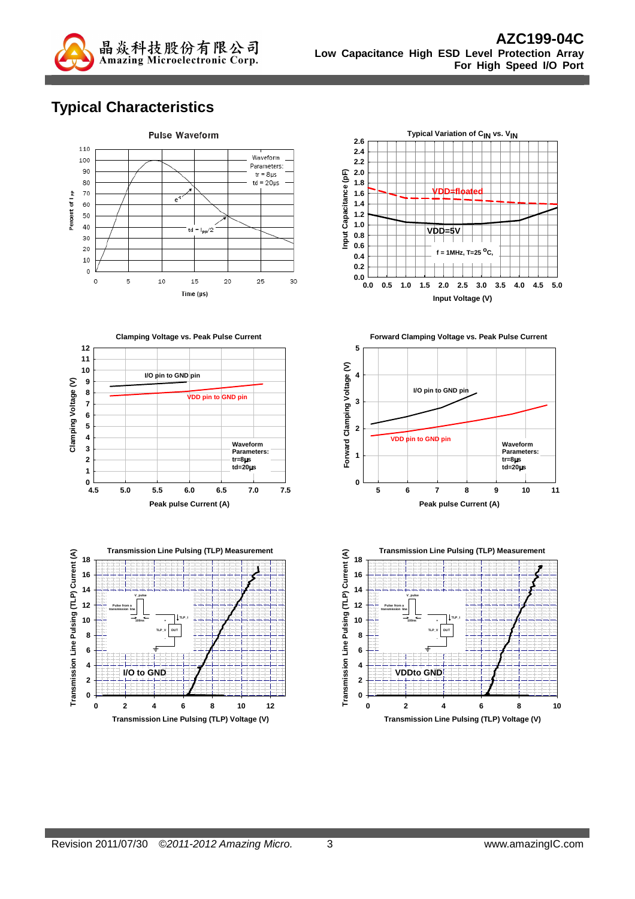

# **Typical Characteristics**









**Forward Clamping Voltage vs. Peak Pulse Current**



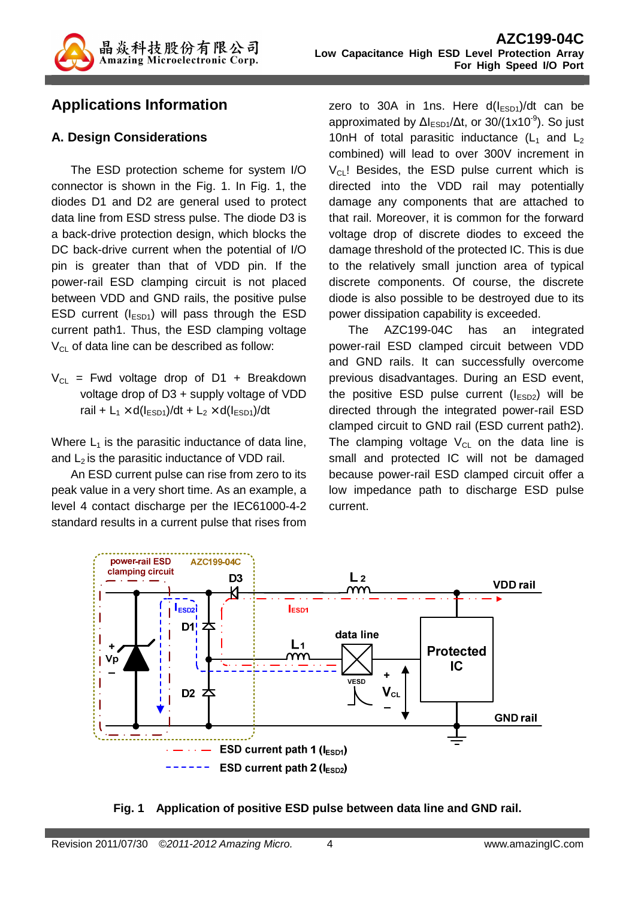

### **Applications Information**

#### **A. Design Considerations**

The ESD protection scheme for system I/O connector is shown in the Fig. 1. In Fig. 1, the diodes D1 and D2 are general used to protect data line from ESD stress pulse. The diode D3 is a back-drive protection design, which blocks the DC back-drive current when the potential of I/O pin is greater than that of VDD pin. If the power-rail ESD clamping circuit is not placed between VDD and GND rails, the positive pulse ESD current  $(I<sub>ESD1</sub>)$  will pass through the ESD current path1. Thus, the ESD clamping voltage  $V_{\text{Cl}}$  of data line can be described as follow:

 $V_{CL}$  = Fwd voltage drop of D1 + Breakdown voltage drop of D3 + supply voltage of VDD rail +  $L_1 \times d(l_{ESD1})/dt$  +  $L_2 \times d(l_{ESD1})/dt$ 

Where  $L_1$  is the parasitic inductance of data line, and  $L_2$  is the parasitic inductance of VDD rail.

An ESD current pulse can rise from zero to its peak value in a very short time. As an example, a level 4 contact discharge per the IEC61000-4-2 standard results in a current pulse that rises from

zero to 30A in 1ns. Here  $d(I<sub>FSD1</sub>)/dt$  can be approximated by  $\Delta l_{FSD1}/\Delta t$ , or 30/(1x10<sup>-9</sup>). So just 10nH of total parasitic inductance  $(L_1$  and  $L_2$ combined) will lead to over 300V increment in  $V_{\text{Cl}}$ ! Besides, the ESD pulse current which is directed into the VDD rail may potentially damage any components that are attached to that rail. Moreover, it is common for the forward voltage drop of discrete diodes to exceed the damage threshold of the protected IC. This is due to the relatively small junction area of typical discrete components. Of course, the discrete diode is also possible to be destroyed due to its power dissipation capability is exceeded.

The AZC199-04C has an integrated power-rail ESD clamped circuit between VDD and GND rails. It can successfully overcome previous disadvantages. During an ESD event, the positive ESD pulse current  $(I_{ESD2})$  will be directed through the integrated power-rail ESD clamped circuit to GND rail (ESD current path2). The clamping voltage  $V_{\text{Cl}}$  on the data line is small and protected IC will not be damaged because power-rail ESD clamped circuit offer a low impedance path to discharge ESD pulse current.



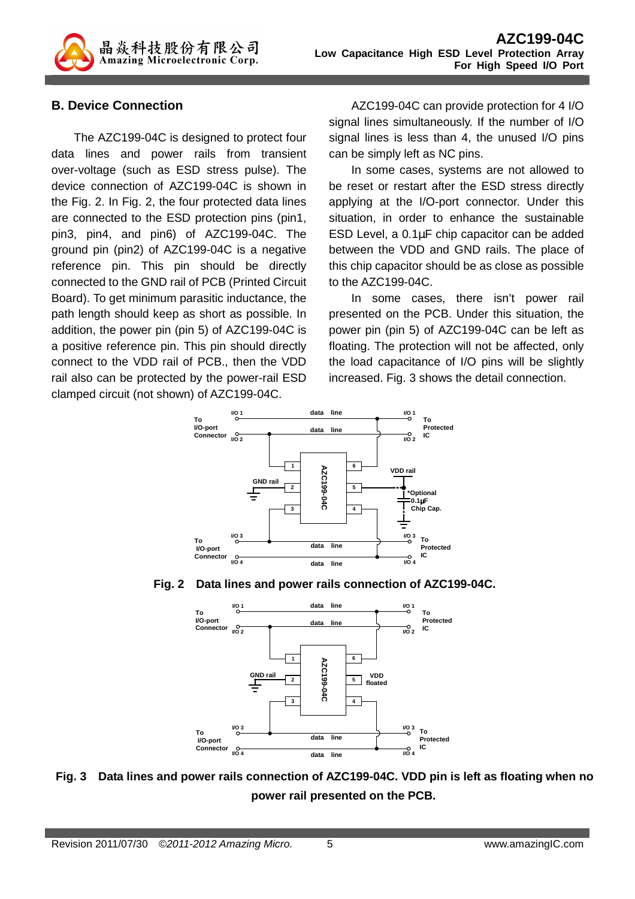

#### **B. Device Connection**

The AZC199-04C is designed to protect four data lines and power rails from transient over-voltage (such as ESD stress pulse). The device connection of AZC199-04C is shown in the Fig. 2. In Fig. 2, the four protected data lines are connected to the ESD protection pins (pin1, pin3, pin4, and pin6) of AZC199-04C. The ground pin (pin2) of AZC199-04C is a negative reference pin. This pin should be directly connected to the GND rail of PCB (Printed Circuit Board). To get minimum parasitic inductance, the path length should keep as short as possible. In addition, the power pin (pin 5) of AZC199-04C is a positive reference pin. This pin should directly connect to the VDD rail of PCB., then the VDD rail also can be protected by the power-rail ESD clamped circuit (not shown) of AZC199-04C.

AZC199-04C can provide protection for 4 I/O signal lines simultaneously. If the number of I/O signal lines is less than 4, the unused I/O pins can be simply left as NC pins.

In some cases, systems are not allowed to be reset or restart after the ESD stress directly applying at the I/O-port connector. Under this situation, in order to enhance the sustainable ESD Level, a 0.1µF chip capacitor can be added between the VDD and GND rails. The place of this chip capacitor should be as close as possible to the AZC199-04C.

In some cases, there isn't power rail presented on the PCB. Under this situation, the power pin (pin 5) of AZC199-04C can be left as floating. The protection will not be affected, only the load capacitance of I/O pins will be slightly increased. Fig. 3 shows the detail connection.







**Fig. 3 Data lines and power rails connection of AZC199-04C. VDD pin is left as floating when no power rail presented on the PCB.**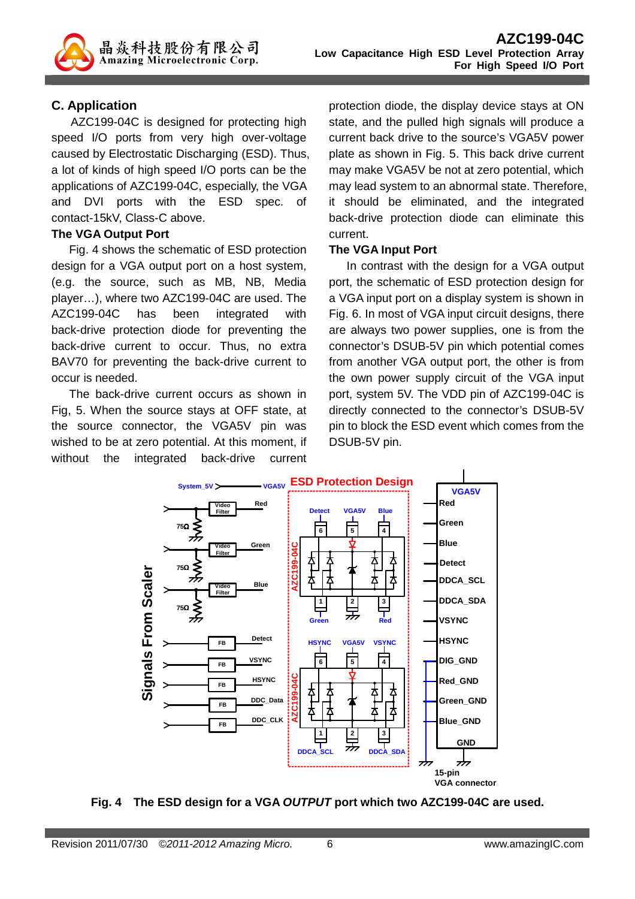### **C. Application**

AZC199-04C is designed for protecting high speed I/O ports from very high over-voltage caused by Electrostatic Discharging (ESD). Thus, a lot of kinds of high speed I/O ports can be the applications of AZC199-04C, especially, the VGA and DVI ports with the ESD spec. of contact-15kV, Class-C above.

#### **The VGA Output Port**

Fig. 4 shows the schematic of ESD protection design for a VGA output port on a host system, (e.g. the source, such as MB, NB, Media player…), where two AZC199-04C are used. The AZC199-04C has been integrated with back-drive protection diode for preventing the back-drive current to occur. Thus, no extra BAV70 for preventing the back-drive current to occur is needed.

The back-drive current occurs as shown in Fig, 5. When the source stays at OFF state, at the source connector, the VGA5V pin was wished to be at zero potential. At this moment, if without the integrated back-drive current

protection diode, the display device stays at ON state, and the pulled high signals will produce a current back drive to the source's VGA5V power plate as shown in Fig. 5. This back drive current may make VGA5V be not at zero potential, which may lead system to an abnormal state. Therefore, it should be eliminated, and the integrated back-drive protection diode can eliminate this current.

#### **The VGA Input Port**

In contrast with the design for a VGA output port, the schematic of ESD protection design for a VGA input port on a display system is shown in Fig. 6. In most of VGA input circuit designs, there are always two power supplies, one is from the connector's DSUB-5V pin which potential comes from another VGA output port, the other is from the own power supply circuit of the VGA input port, system 5V. The VDD pin of AZC199-04C is directly connected to the connector's DSUB-5V pin to block the ESD event which comes from the DSUB-5V pin.



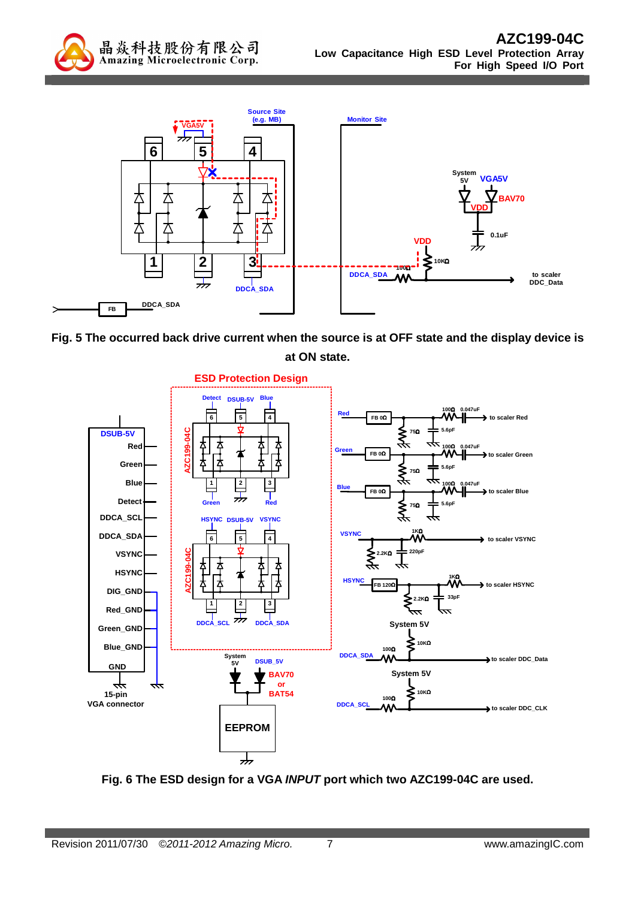



**Fig. 5 The occurred back drive current when the source is at OFF state and the display device is at ON state.** 



**Fig. 6 The ESD design for a VGA INPUT port which two AZC199-04C are used.**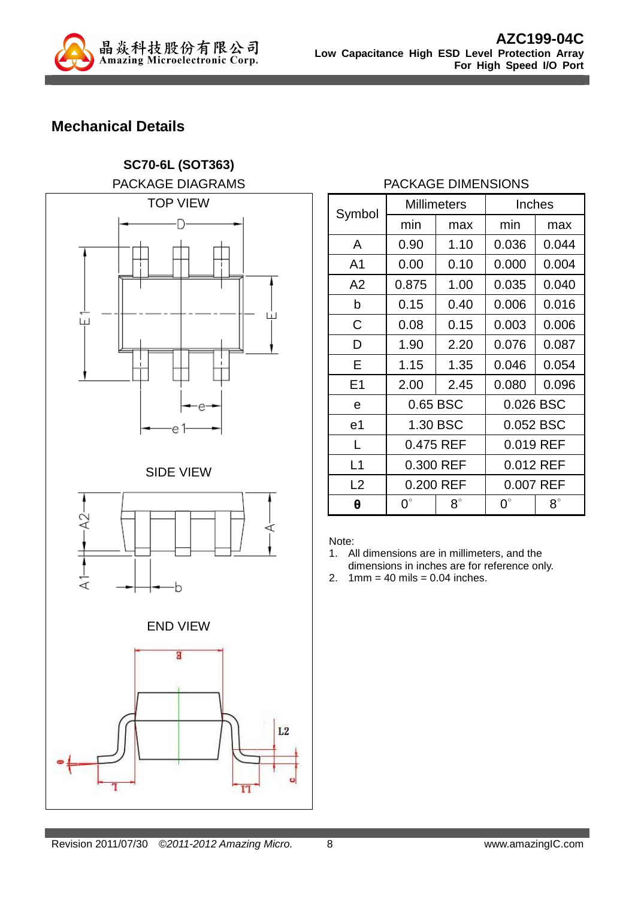

**SC70-6L (SOT363)** 

# **Mechanical Details**

PACKAGE DIAGRAMS TOP VIEW Ð 1 L I ய் e SIDE VIEW  $\Delta$ 2 ⋖ է b END VIEW g  $L<sub>2</sub>$ 

#### PACKAGE DIMENSIONS

| Symbol         | <b>Millimeters</b> |           |             | Inches    |
|----------------|--------------------|-----------|-------------|-----------|
|                | min                | max       | min         | max       |
| A              | 0.90               | 1.10      | 0.036       | 0.044     |
| A <sub>1</sub> | 0.00               | 0.10      | 0.000       | 0.004     |
| A2             | 0.875              | 1.00      | 0.035       | 0.040     |
| b              | 0.15               | 0.40      | 0.006       | 0.016     |
| C              | 0.08               | 0.15      | 0.003       | 0.006     |
| D              | 1.90               | 2.20      | 0.076       | 0.087     |
| E              | 1.15               | 1.35      | 0.046       | 0.054     |
| E1             | 2.00               | 2.45      | 0.080       | 0.096     |
| е              | 0.65 BSC           |           | 0.026 BSC   |           |
| e <sub>1</sub> | 1.30 BSC           |           | 0.052 BSC   |           |
| L              | 0.475 REF          |           |             | 0.019 REF |
| L1             | 0.300 REF          |           | 0.012 REF   |           |
| L2             | 0.200 REF          |           | 0.007 REF   |           |
| θ              | $0^{\circ}$        | $8^\circ$ | $0^{\circ}$ | $8^\circ$ |

Note:

- 1. All dimensions are in millimeters, and the dimensions in inches are for reference only.
- 2.  $1mm = 40$  mils  $= 0.04$  inches.

T<sub>1</sub>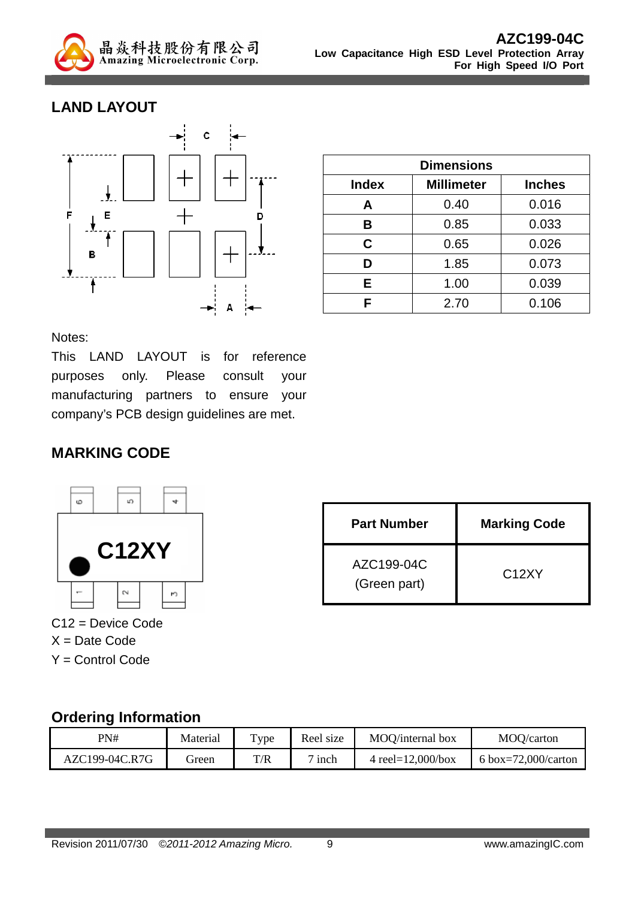

## **LAND LAYOUT**



| <b>Dimensions</b> |                   |               |  |
|-------------------|-------------------|---------------|--|
| <b>Index</b>      | <b>Millimeter</b> | <b>Inches</b> |  |
| A                 | 0.40              | 0.016         |  |
| в                 | 0.85              | 0.033         |  |
| C.                | 0.65              | 0.026         |  |
| D                 | 1.85              | 0.073         |  |
| Е                 | 1.00              | 0.039         |  |
|                   | 2.70              | 0.106         |  |

Notes:

This LAND LAYOUT is for reference purposes only. Please consult your manufacturing partners to ensure your company's PCB design guidelines are met.

### **MARKING CODE**



C12 = Device Code  $X =$  Date Code Y = Control Code

| <b>Part Number</b>         | <b>Marking Code</b> |
|----------------------------|---------------------|
| AZC199-04C<br>(Green part) | C <sub>12</sub> XY  |

### **Ordering Information**

| PN#            | Material | $_{\text{Type}}$ | Reel size              | MOO/internal box      | MOQ/carton          |
|----------------|----------|------------------|------------------------|-----------------------|---------------------|
| AZC199-04C.R7G | reen     | T/R              | $\sim$ $\cdot$<br>inch | 4 reel= $12,000/b$ ox | 6 box=72,000/carton |